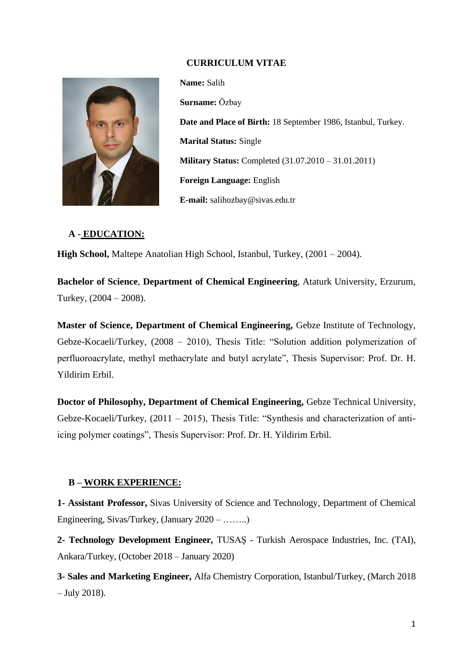# **CURRICULUM VITAE**



**Name:** Salih **Surname:** Özbay **Date and Place of Birth:** 18 September 1986, Istanbul, Turkey. **Marital Status:** Single **Military Status:** Completed (31.07.2010 – 31.01.2011) **Foreign Language:** English **E-mail:** salihozbay@sivas.edu.tr

# **A - EDUCATION:**

**High School,** Maltepe Anatolian High School, Istanbul, Turkey, (2001 – 2004).

**Bachelor of Science**, **Department of Chemical Engineering**, Ataturk University, Erzurum, Turkey, (2004 – 2008).

**Master of Science, Department of Chemical Engineering,** Gebze Institute of Technology, Gebze-Kocaeli/Turkey, (2008 – 2010), Thesis Title: "Solution addition polymerization of perfluoroacrylate, methyl methacrylate and butyl acrylate", Thesis Supervisor: Prof. Dr. H. Yildirim Erbil.

**Doctor of Philosophy, Department of Chemical Engineering,** Gebze Technical University, Gebze-Kocaeli/Turkey, (2011 – 2015), Thesis Title: "Synthesis and characterization of antiicing polymer coatings", Thesis Supervisor: Prof. Dr. H. Yildirim Erbil.

# **B – WORK EXPERIENCE:**

**1- Assistant Professor,** Sivas University of Science and Technology, Department of Chemical Engineering, Sivas/Turkey, (January 2020 – ……..)

**2- Technology Development Engineer,** TUSAŞ - Turkish Aerospace Industries, Inc. (TAI), Ankara/Turkey, (October 2018 – January 2020)

**3- Sales and Marketing Engineer,** Alfa Chemistry Corporation, Istanbul/Turkey, (March 2018 – July 2018).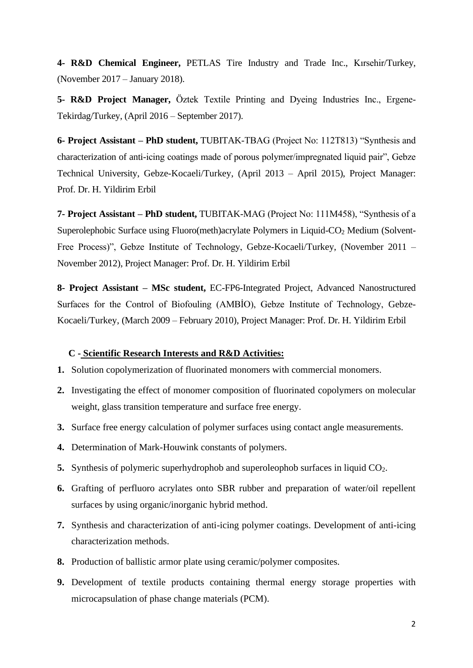**4- R&D Chemical Engineer,** PETLAS Tire Industry and Trade Inc., Kırsehir/Turkey, (November 2017 – January 2018).

**5- R&D Project Manager,** Öztek Textile Printing and Dyeing Industries Inc., Ergene-Tekirdag/Turkey, (April 2016 – September 2017).

**6- Project Assistant – PhD student,** TUBITAK-TBAG (Project No: 112T813) "Synthesis and characterization of anti-icing coatings made of porous polymer/impregnated liquid pair", Gebze Technical University, Gebze-Kocaeli/Turkey, (April 2013 – April 2015), Project Manager: Prof. Dr. H. Yildirim Erbil

**7- Project Assistant – PhD student,** TUBITAK-MAG (Project No: 111M458), "Synthesis of a Superolephobic Surface using Fluoro(meth)acrylate Polymers in Liquid-CO<sup>2</sup> Medium (Solvent-Free Process)", Gebze Institute of Technology, Gebze-Kocaeli/Turkey, (November 2011 – November 2012), Project Manager: Prof. Dr. H. Yildirim Erbil

**8- Project Assistant – MSc student,** EC-FP6-Integrated Project, Advanced Nanostructured Surfaces for the Control of Biofouling (AMBİO), Gebze Institute of Technology, Gebze-Kocaeli/Turkey, (March 2009 – February 2010), Project Manager: Prof. Dr. H. Yildirim Erbil

## **C - Scientific Research Interests and R&D Activities:**

- **1.** Solution copolymerization of fluorinated monomers with commercial monomers.
- **2.** Investigating the effect of monomer composition of fluorinated copolymers on molecular weight, glass transition temperature and surface free energy.
- **3.** Surface free energy calculation of polymer surfaces using contact angle measurements.
- **4.** Determination of Mark-Houwink constants of polymers.
- **5.** Synthesis of polymeric superhydrophob and superoleophob surfaces in liquid CO<sub>2</sub>.
- **6.** Grafting of perfluoro acrylates onto SBR rubber and preparation of water/oil repellent surfaces by using organic/inorganic hybrid method.
- **7.** Synthesis and characterization of anti-icing polymer coatings. Development of anti-icing characterization methods.
- **8.** Production of ballistic armor plate using ceramic/polymer composites.
- **9.** Development of textile products containing thermal energy storage properties with microcapsulation of phase change materials (PCM).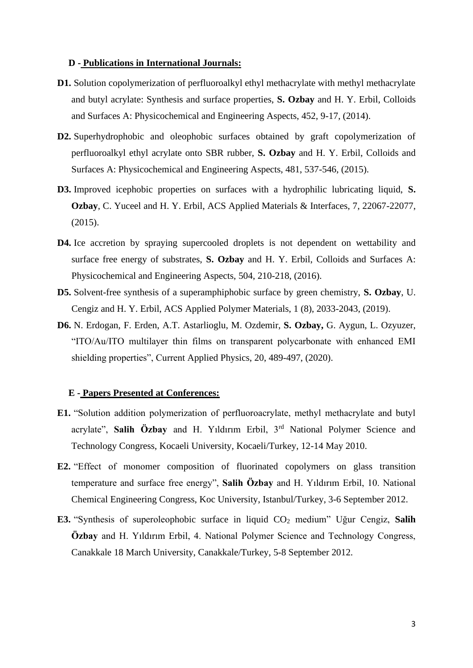#### **D - Publications in International Journals:**

- **D1.** Solution copolymerization of perfluoroalkyl ethyl methacrylate with methyl methacrylate and butyl acrylate: Synthesis and surface properties, **S. Ozbay** and H. Y. Erbil, Colloids and Surfaces A: Physicochemical and Engineering Aspects, 452, 9-17, (2014).
- **D2.** Superhydrophobic and oleophobic surfaces obtained by graft copolymerization of perfluoroalkyl ethyl acrylate onto SBR rubber, **S. Ozbay** and H. Y. Erbil, Colloids and Surfaces A: Physicochemical and Engineering Aspects, 481, 537-546, (2015).
- **D3.** Improved icephobic properties on surfaces with a hydrophilic lubricating liquid, **S. Ozbay**, C. Yuceel and H. Y. Erbil, ACS Applied Materials & Interfaces, 7, 22067-22077, (2015).
- D4. Ice accretion by spraying supercooled droplets is not dependent on wettability and surface free energy of substrates, **S. Ozbay** and H. Y. Erbil, Colloids and Surfaces A: Physicochemical and Engineering Aspects, 504, 210-218, (2016).
- **D5.** Solvent-free synthesis of a superamphiphobic surface by green chemistry, **S. Ozbay**, U. Cengiz and H. Y. Erbil, ACS Applied Polymer Materials, 1 (8), 2033-2043, (2019).
- **D6.** N. Erdogan, F. Erden, A.T. Astarlioglu, M. Ozdemir, **S. Ozbay,** G. Aygun, L. Ozyuzer, "ITO/Au/ITO multilayer thin films on transparent polycarbonate with enhanced EMI shielding properties", Current Applied Physics, 20, 489-497, (2020).

#### **E - Papers Presented at Conferences:**

- **E1.** "Solution addition polymerization of perfluoroacrylate, methyl methacrylate and butyl acrylate", **Salih Özbay** and H. Yıldırım Erbil, 3rd National Polymer Science and Technology Congress, Kocaeli University, Kocaeli/Turkey, 12-14 May 2010.
- **E2.** "Effect of monomer composition of fluorinated copolymers on glass transition temperature and surface free energy", **Salih Özbay** and H. Yıldırım Erbil, 10. National Chemical Engineering Congress, Koc University, Istanbul/Turkey, 3-6 September 2012.
- **E3.** "Synthesis of superoleophobic surface in liquid CO<sup>2</sup> medium" Uğur Cengiz, **Salih Özbay** and H. Yıldırım Erbil, 4. National Polymer Science and Technology Congress, Canakkale 18 March University, Canakkale/Turkey, 5-8 September 2012.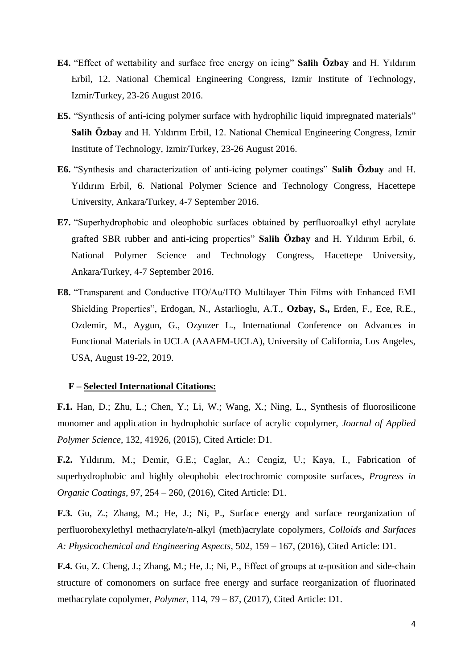- **E4.** "Effect of wettability and surface free energy on icing" **Salih Özbay** and H. Yıldırım Erbil, 12. National Chemical Engineering Congress, Izmir Institute of Technology, Izmir/Turkey, 23-26 August 2016.
- **E5.** "Synthesis of anti-icing polymer surface with hydrophilic liquid impregnated materials" **Salih Özbay** and H. Yıldırım Erbil, 12. National Chemical Engineering Congress, Izmir Institute of Technology, Izmir/Turkey, 23-26 August 2016.
- **E6.** "Synthesis and characterization of anti-icing polymer coatings" **Salih Özbay** and H. Yıldırım Erbil, 6. National Polymer Science and Technology Congress, Hacettepe University, Ankara/Turkey, 4-7 September 2016.
- **E7.** "Superhydrophobic and oleophobic surfaces obtained by perfluoroalkyl ethyl acrylate grafted SBR rubber and anti-icing properties" **Salih Özbay** and H. Yıldırım Erbil, 6. National Polymer Science and Technology Congress, Hacettepe University, Ankara/Turkey, 4-7 September 2016.
- **E8.** "Transparent and Conductive ITO/Au/ITO Multilayer Thin Films with Enhanced EMI Shielding Properties", Erdogan, N., Astarlioglu, A.T., **Ozbay, S.,** Erden, F., Ece, R.E., Ozdemir, M., Aygun, G., Ozyuzer L., International Conference on Advances in Functional Materials in UCLA (AAAFM-UCLA), University of California, Los Angeles, USA, August 19-22, 2019.

## **F – Selected International Citations:**

**F.1.** Han, D.; Zhu, L.; Chen, Y.; Li, W.; Wang, X.; Ning, L., Synthesis of fluorosilicone monomer and application in hydrophobic surface of acrylic copolymer, *Journal of Applied Polymer Science*, 132, 41926, (2015), Cited Article: D1.

**F.2.** Yıldırım, M.; Demir, G.E.; Caglar, A.; Cengiz, U.; Kaya, I., Fabrication of superhydrophobic and highly oleophobic electrochromic composite surfaces, *Progress in Organic Coatings*, 97, 254 – 260, (2016), Cited Article: D1.

**F.3.** Gu, Z.; Zhang, M.; He, J.; Ni, P., Surface energy and surface reorganization of perfluorohexylethyl methacrylate/n-alkyl (meth)acrylate copolymers, *Colloids and Surfaces A: Physicochemical and Engineering Aspects,* 502, 159 – 167, (2016), Cited Article: D1.

**F.4.** Gu, Z. Cheng, J.; Zhang, M.; He, J.; Ni, P., Effect of groups at α-position and side-chain structure of comonomers on surface free energy and surface reorganization of fluorinated methacrylate copolymer, *Polymer*, 114, 79 – 87, (2017), Cited Article: D1.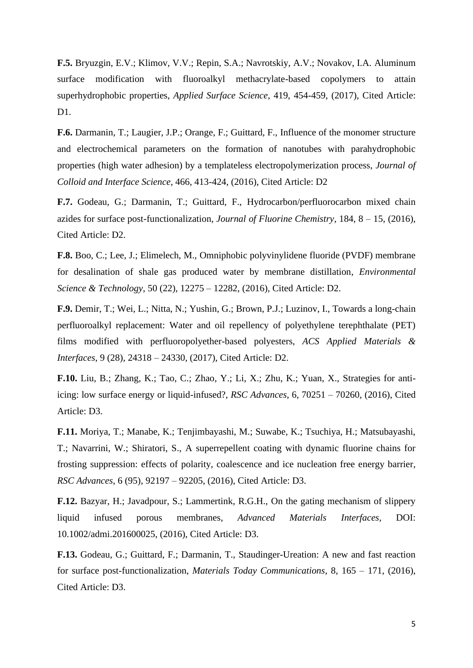**F.5.** Bryuzgin, E.V.; Klimov, V.V.; Repin, S.A.; Navrotskiy, A.V.; Novakov, I.A. Aluminum surface modification with fluoroalkyl methacrylate-based copolymers to attain superhydrophobic properties, *Applied Surface Science*, 419, 454-459, (2017), Cited Article: D1.

**F.6.** Darmanin, T.; Laugier, J.P.; Orange, F.; Guittard, F., Influence of the monomer structure and electrochemical parameters on the formation of nanotubes with parahydrophobic properties (high water adhesion) by a templateless electropolymerization process, *Journal of Colloid and Interface Science*, 466, 413-424, (2016), Cited Article: D2

**F.7.** Godeau, G.; Darmanin, T.; Guittard, F., Hydrocarbon/perfluorocarbon mixed chain azides for surface post-functionalization, *Journal of Fluorine Chemistry*, 184, 8 – 15, (2016), Cited Article: D2.

**F.8.** Boo, C.; Lee, J.; Elimelech, M., Omniphobic polyvinylidene fluoride (PVDF) membrane for desalination of shale gas produced water by membrane distillation, *Environmental Science & Technology*, 50 (22), 12275 – 12282, (2016), Cited Article: D2.

**F.9.** Demir, T.; Wei, L.; Nitta, N.; Yushin, G.; Brown, P.J.; Luzinov, I., Towards a long-chain perfluoroalkyl replacement: Water and oil repellency of polyethylene terephthalate (PET) films modified with perfluoropolyether-based polyesters, *ACS Applied Materials & Interfaces*, 9 (28), 24318 – 24330, (2017), Cited Article: D2.

**F.10.** Liu, B.; Zhang, K.; Tao, C.; Zhao, Y.; Li, X.; Zhu, K.; Yuan, X., Strategies for antiicing: low surface energy or liquid-infused?, *RSC Advances*, 6, 70251 – 70260, (2016), Cited Article: D3.

**F.11.** Moriya, T.; Manabe, K.; Tenjimbayashi, M.; Suwabe, K.; Tsuchiya, H.; Matsubayashi, T.; Navarrini, W.; Shiratori, S., A superrepellent coating with dynamic fluorine chains for frosting suppression: effects of polarity, coalescence and ice nucleation free energy barrier, *RSC Advances*, 6 (95), 92197 – 92205, (2016), Cited Article: D3.

**F.12.** Bazyar, H.; Javadpour, S.; Lammertink, R.G.H., On the gating mechanism of slippery liquid infused porous membranes, *Advanced Materials Interfaces*, DOI: 10.1002/admi.201600025, (2016), Cited Article: D3.

**F.13.** Godeau, G.; Guittard, F.; Darmanin, T., Staudinger-Ureation: A new and fast reaction for surface post-functionalization, *Materials Today Communications*, 8, 165 – 171, (2016), Cited Article: D3.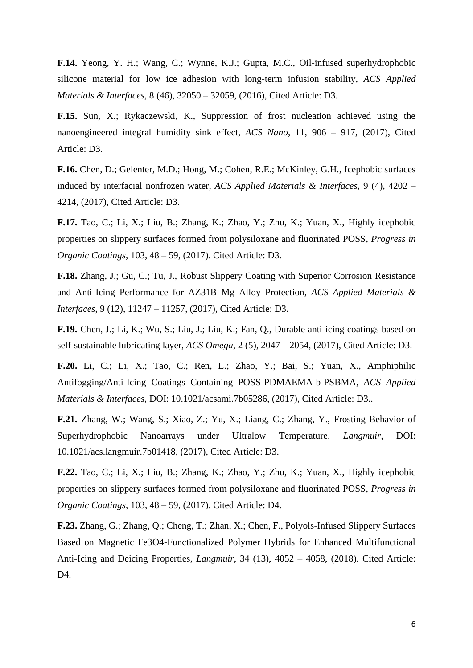**F.14.** Yeong, Y. H.; Wang, C.; Wynne, K.J.; Gupta, M.C., Oil-infused superhydrophobic silicone material for low ice adhesion with long-term infusion stability, *ACS Applied Materials & Interfaces*, 8 (46), 32050 – 32059, (2016), Cited Article: D3.

**F.15.** Sun, X.; Rykaczewski, K., Suppression of frost nucleation achieved using the nanoengineered integral humidity sink effect, *ACS Nano*, 11, 906 – 917, (2017), Cited Article: D3.

**F.16.** Chen, D.; Gelenter, M.D.; Hong, M.; Cohen, R.E.; McKinley, G.H., Icephobic surfaces induced by interfacial nonfrozen water, *ACS Applied Materials & Interfaces*, 9 (4), 4202 – 4214, (2017), Cited Article: D3.

**F.17.** Tao, C.; Li, X.; Liu, B.; Zhang, K.; Zhao, Y.; Zhu, K.; Yuan, X., Highly icephobic properties on slippery surfaces formed from polysiloxane and fluorinated POSS, *Progress in Organic Coatings*, 103, 48 – 59, (2017). Cited Article: D3.

**F.18.** Zhang, J.; Gu, C.; Tu, J., Robust Slippery Coating with Superior Corrosion Resistance and Anti-Icing Performance for AZ31B Mg Alloy Protection, *ACS Applied Materials & Interfaces*, 9 (12), 11247 – 11257, (2017), Cited Article: D3.

**F.19.** Chen, J.; Li, K.; Wu, S.; Liu, J.; Liu, K.; Fan, Q., Durable anti-icing coatings based on self-sustainable lubricating layer, *ACS Omega*, 2 (5), 2047 – 2054, (2017), Cited Article: D3.

**F.20.** Li, C.; Li, X.; Tao, C.; Ren, L.; Zhao, Y.; Bai, S.; Yuan, X., Amphiphilic Antifogging/Anti-Icing Coatings Containing POSS-PDMAEMA-b-PSBMA, *ACS Applied Materials & Interfaces*, DOI: 10.1021/acsami.7b05286, (2017), Cited Article: D3..

**F.21.** Zhang, W.; Wang, S.; Xiao, Z.; Yu, X.; Liang, C.; Zhang, Y., Frosting Behavior of Superhydrophobic Nanoarrays under Ultralow Temperature, *Langmuir*, DOI: 10.1021/acs.langmuir.7b01418, (2017), Cited Article: D3.

**F.22.** Tao, C.; Li, X.; Liu, B.; Zhang, K.; Zhao, Y.; Zhu, K.; Yuan, X., Highly icephobic properties on slippery surfaces formed from polysiloxane and fluorinated POSS, *Progress in Organic Coatings*, 103, 48 – 59, (2017). Cited Article: D4.

**F.23.** Zhang, G.; Zhang, Q.; Cheng, T.; Zhan, X.; Chen, F., Polyols-Infused Slippery Surfaces Based on Magnetic Fe3O4-Functionalized Polymer Hybrids for Enhanced Multifunctional Anti-Icing and Deicing Properties, *Langmuir*, 34 (13), 4052 – 4058, (2018). Cited Article: D4.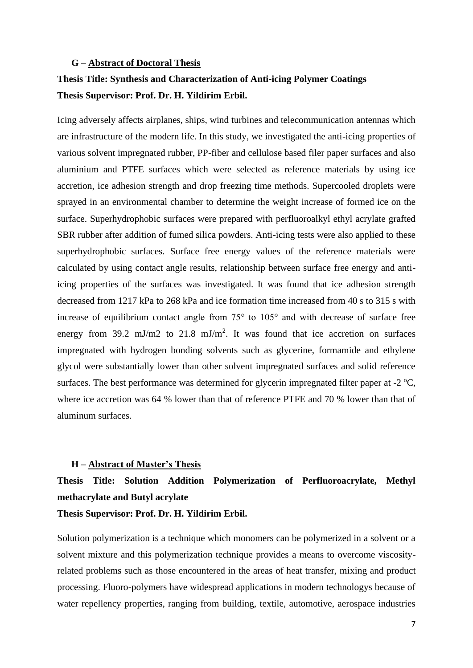#### **G – Abstract of Doctoral Thesis**

# **Thesis Title: Synthesis and Characterization of Anti-icing Polymer Coatings Thesis Supervisor: Prof. Dr. H. Yildirim Erbil.**

Icing adversely affects airplanes, ships, wind turbines and telecommunication antennas which are infrastructure of the modern life. In this study, we investigated the anti-icing properties of various solvent impregnated rubber, PP-fiber and cellulose based filer paper surfaces and also aluminium and PTFE surfaces which were selected as reference materials by using ice accretion, ice adhesion strength and drop freezing time methods. Supercooled droplets were sprayed in an environmental chamber to determine the weight increase of formed ice on the surface. Superhydrophobic surfaces were prepared with perfluoroalkyl ethyl acrylate grafted SBR rubber after addition of fumed silica powders. Anti-icing tests were also applied to these superhydrophobic surfaces. Surface free energy values of the reference materials were calculated by using contact angle results, relationship between surface free energy and antiicing properties of the surfaces was investigated. It was found that ice adhesion strength decreased from 1217 kPa to 268 kPa and ice formation time increased from 40 s to 315 s with increase of equilibrium contact angle from 75° to 105° and with decrease of surface free energy from  $39.2 \text{ mJ/m2}$  to  $21.8 \text{ mJ/m}^2$ . It was found that ice accretion on surfaces impregnated with hydrogen bonding solvents such as glycerine, formamide and ethylene glycol were substantially lower than other solvent impregnated surfaces and solid reference surfaces. The best performance was determined for glycerin impregnated filter paper at  $-2 \degree C$ , where ice accretion was 64 % lower than that of reference PTFE and 70 % lower than that of aluminum surfaces.

## **H – Abstract of Master's Thesis**

# **Thesis Title: Solution Addition Polymerization of Perfluoroacrylate, Methyl methacrylate and Butyl acrylate**

### **Thesis Supervisor: Prof. Dr. H. Yildirim Erbil.**

Solution polymerization is a technique which monomers can be polymerized in a solvent or a solvent mixture and this polymerization technique provides a means to overcome viscosityrelated problems such as those encountered in the areas of heat transfer, mixing and product processing. Fluoro-polymers have widespread applications in modern technologys because of water repellency properties, ranging from building, textile, automotive, aerospace industries